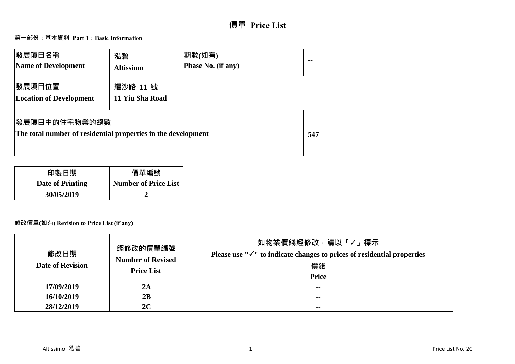# **價單 Price List**

# **第一部份:基本資料 Part 1:Basic Information**

| 發展項目名稱<br>Name of Development                                                          | 泓碧<br><b>Altissimo</b>      | 期數(如有)<br>Phase No. (if any) | $\sim$ $-$ |
|----------------------------------------------------------------------------------------|-----------------------------|------------------------------|------------|
| 發展項目位置<br><b>Location of Development</b>                                               | 耀沙路 11 號<br>11 Yiu Sha Road |                              |            |
| <b> 發展項目中的住宅物業的總數</b><br>The total number of residential properties in the development |                             |                              | 547        |

| 印製日期             | 價單編號                        |
|------------------|-----------------------------|
| Date of Printing | <b>Number of Price List</b> |
| 30/05/2019       |                             |

# **修改價單(如有) Revision to Price List (if any)**

| 修改日期<br><b>Date of Revision</b> | 經修改的價單編號<br><b>Number of Revised</b><br><b>Price List</b> | 如物業價錢經修改,請以「√」標示<br>Please use " $\checkmark$ " to indicate changes to prices of residential properties<br>價錢<br><b>Price</b> |
|---------------------------------|-----------------------------------------------------------|-------------------------------------------------------------------------------------------------------------------------------|
| 17/09/2019                      | 2A                                                        | $- -$                                                                                                                         |
| 16/10/2019                      | 2B                                                        | $\sim$ $\sim$                                                                                                                 |
| 28/12/2019                      | 2C                                                        | $\sim$ $\sim$                                                                                                                 |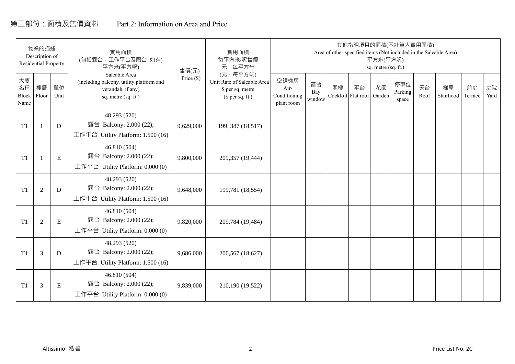# 第二部份:面積及售價資料 Part 2: Information on Area and Price

|                           | 物業的描述<br>Description of<br><b>Residential Property</b> |             | 實用面積<br>(包括露台, 工作平台及陽台 如有)<br>平方米(平方呎)                                                                | 售價(元)      | 實用面積<br>每平方米/呎售價<br>元·每平方米                                                     |                                            |                     |    | 其他指明項目的面積(不計算入實用面積)<br>Area of other specified items (Not included in the Saleable Area) | 平方米(平方呎)<br>sq. metre (sq. ft.) |                         |            |                 |               |            |
|---------------------------|--------------------------------------------------------|-------------|-------------------------------------------------------------------------------------------------------|------------|--------------------------------------------------------------------------------|--------------------------------------------|---------------------|----|------------------------------------------------------------------------------------------|---------------------------------|-------------------------|------------|-----------------|---------------|------------|
| 大廈<br>名稱<br>Block<br>Name | 樓層<br>Floor                                            | 單位<br>Unit  | Saleable Area<br>(including balcony, utility platform and<br>verandah, if any)<br>sq. metre (sq. ft.) | Price (\$) | (元·每平方呎)<br>Unit Rate of Saleable Area<br>\$ per sq. metre<br>$$$ per sq. ft.) | 空調機房<br>Air-<br>Conditioning<br>plant room | 窗台<br>Bay<br>window | 閣樓 | 平台<br>Cockloft Flat roof                                                                 | 花園<br>Garden                    | 停車位<br>Parking<br>space | 天台<br>Roof | 梯屋<br>Stairhood | 前庭<br>Terrace | 庭院<br>Yard |
| T1                        |                                                        | D           | 48.293 (520)<br>露台 Balcony: 2.000 (22);<br>工作平台 Utility Platform: 1.500 (16)                          | 9,629,000  | 199, 387 (18,517)                                                              |                                            |                     |    |                                                                                          |                                 |                         |            |                 |               |            |
| T1                        |                                                        | ${\bf E}$   | 46.810 (504)<br>露台 Balcony: 2.000 (22);<br>工作平台 Utility Platform: $0.000(0)$                          | 9,800,000  | 209,357 (19,444)                                                               |                                            |                     |    |                                                                                          |                                 |                         |            |                 |               |            |
| T1                        | $\overline{2}$                                         | $\mathbf D$ | 48.293 (520)<br>露台 Balcony: 2.000 (22);<br>工作平台 Utility Platform: 1.500 (16)                          | 9,648,000  | 199,781 (18,554)                                                               |                                            |                     |    |                                                                                          |                                 |                         |            |                 |               |            |
| T1                        | 2                                                      | E           | 46.810 (504)<br>露台 Balcony: 2.000 (22);<br>工作平台 Utility Platform: 0.000 (0)                           | 9,820,000  | 209,784 (19,484)                                                               |                                            |                     |    |                                                                                          |                                 |                         |            |                 |               |            |
| T1                        | 3                                                      | D           | 48.293 (520)<br>露台 Balcony: 2.000 (22);<br>工作平台 Utility Platform: $1.500(16)$                         | 9,686,000  | 200,567 (18,627)                                                               |                                            |                     |    |                                                                                          |                                 |                         |            |                 |               |            |
| T1                        | 3                                                      | Ε           | 46.810 (504)<br>露台 Balcony: 2.000 (22);<br>工作平台 Utility Platform: $0.000(0)$                          | 9,839,000  | 210,190 (19,522)                                                               |                                            |                     |    |                                                                                          |                                 |                         |            |                 |               |            |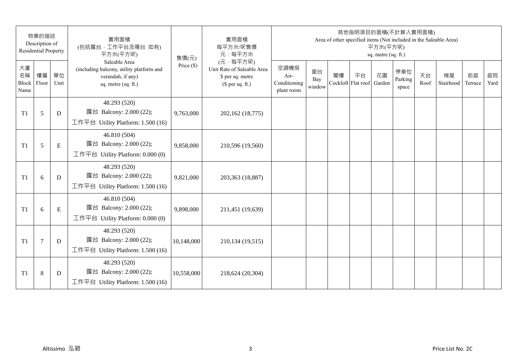|                           | 物業的描述<br>Description of<br><b>Residential Property</b> |            | 實用面積<br>(包括露台,工作平台及陽台 如有)<br>平方米(平方呎)                                                                 | 售價(元)        | 實用面積<br>每平方米/呎售價<br>元·每平方米                                                     |                                            |                     |    | 其他指明項目的面積(不計算入實用面積)      | 平方米(平方呎)<br>sq. metre (sq. ft.) |                         |            | Area of other specified items (Not included in the Saleable Area) |               |            |
|---------------------------|--------------------------------------------------------|------------|-------------------------------------------------------------------------------------------------------|--------------|--------------------------------------------------------------------------------|--------------------------------------------|---------------------|----|--------------------------|---------------------------------|-------------------------|------------|-------------------------------------------------------------------|---------------|------------|
| 大廈<br>名稱<br>Block<br>Name | 樓層<br>Floor                                            | 單位<br>Unit | Saleable Area<br>(including balcony, utility platform and<br>verandah, if any)<br>sq. metre (sq. ft.) | Price $(\$)$ | (元·每平方呎)<br>Unit Rate of Saleable Area<br>\$ per sq. metre<br>$$$ per sq. ft.) | 空調機房<br>Air-<br>Conditioning<br>plant room | 窗台<br>Bay<br>window | 閣樓 | 平台<br>Cockloft Flat roof | 花園<br>Garden                    | 停車位<br>Parking<br>space | 天台<br>Roof | 梯屋<br>Stairhood                                                   | 前庭<br>Terrace | 庭院<br>Yard |
| T <sub>1</sub>            | 5                                                      | D          | 48.293 (520)<br>露台 Balcony: 2.000 (22);<br>工作平台 Utility Platform: 1.500 (16)                          | 9,763,000    | 202,162 (18,775)                                                               |                                            |                     |    |                          |                                 |                         |            |                                                                   |               |            |
| T <sub>1</sub>            | 5                                                      | E          | 46.810 (504)<br>露台 Balcony: 2.000 (22);<br>工作平台 Utility Platform: 0.000 (0)                           | 9,858,000    | 210,596 (19,560)                                                               |                                            |                     |    |                          |                                 |                         |            |                                                                   |               |            |
| T <sub>1</sub>            | 6                                                      | D          | 48.293 (520)<br>露台 Balcony: 2.000 (22);<br>工作平台 Utility Platform: 1.500 (16)                          | 9,821,000    | 203,363 (18,887)                                                               |                                            |                     |    |                          |                                 |                         |            |                                                                   |               |            |
| T1                        | 6                                                      | ${\bf E}$  | 46.810 (504)<br>露台 Balcony: 2.000 (22);<br>工作平台 Utility Platform: 0.000 (0)                           | 9,898,000    | 211,451 (19,639)                                                               |                                            |                     |    |                          |                                 |                         |            |                                                                   |               |            |
| T <sub>1</sub>            | $\overline{7}$                                         | D          | 48.293 (520)<br>露台 Balcony: 2.000 (22);<br>工作平台 Utility Platform: 1.500 (16)                          | 10,148,000   | 210,134 (19,515)                                                               |                                            |                     |    |                          |                                 |                         |            |                                                                   |               |            |
| T <sub>1</sub>            | 8                                                      | D          | 48.293 (520)<br>露台 Balcony: 2.000 (22);<br>工作平台 Utility Platform: $1.500(16)$                         | 10,558,000   | 218,624 (20,304)                                                               |                                            |                     |    |                          |                                 |                         |            |                                                                   |               |            |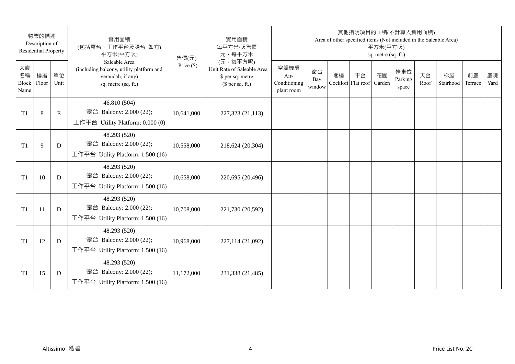|                           | 物業的描述<br>Description of<br><b>Residential Property</b> |            | 實用面積<br>(包括露台,工作平台及陽台 如有)<br>平方米(平方呎)                                                                 | 售價(元)        | 實用面積<br>每平方米/呎售價<br>元·每平方米                                                     |                                            |                     |    | 其他指明項目的面積(不計算入實用面積)      | 平方米(平方呎)<br>sq. metre (sq. ft.) |                         |            | Area of other specified items (Not included in the Saleable Area) |               |            |
|---------------------------|--------------------------------------------------------|------------|-------------------------------------------------------------------------------------------------------|--------------|--------------------------------------------------------------------------------|--------------------------------------------|---------------------|----|--------------------------|---------------------------------|-------------------------|------------|-------------------------------------------------------------------|---------------|------------|
| 大廈<br>名稱<br>Block<br>Name | 樓層<br>Floor                                            | 單位<br>Unit | Saleable Area<br>(including balcony, utility platform and<br>verandah, if any)<br>sq. metre (sq. ft.) | Price $(\$)$ | (元·每平方呎)<br>Unit Rate of Saleable Area<br>\$ per sq. metre<br>$$$ per sq. ft.) | 空調機房<br>Air-<br>Conditioning<br>plant room | 窗台<br>Bay<br>window | 閣樓 | 平台<br>Cockloft Flat roof | 花園<br>Garden                    | 停車位<br>Parking<br>space | 天台<br>Roof | 梯屋<br>Stairhood                                                   | 前庭<br>Terrace | 庭院<br>Yard |
| T <sub>1</sub>            | 8                                                      | E          | 46.810 (504)<br>露台 Balcony: 2.000 (22);<br>工作平台 Utility Platform: 0.000 (0)                           | 10,641,000   | 227,323 (21,113)                                                               |                                            |                     |    |                          |                                 |                         |            |                                                                   |               |            |
| T <sub>1</sub>            | 9                                                      | D          | 48.293 (520)<br>露台 Balcony: 2.000 (22);<br>工作平台 Utility Platform: 1.500 (16)                          | 10,558,000   | 218,624 (20,304)                                                               |                                            |                     |    |                          |                                 |                         |            |                                                                   |               |            |
| T <sub>1</sub>            | 10                                                     | D          | 48.293 (520)<br>露台 Balcony: 2.000 (22);<br>工作平台 Utility Platform: 1.500 (16)                          | 10,658,000   | 220,695 (20,496)                                                               |                                            |                     |    |                          |                                 |                         |            |                                                                   |               |            |
| T <sub>1</sub>            | 11                                                     | D          | 48.293 (520)<br>露台 Balcony: 2.000 (22);<br>工作平台 Utility Platform: 1.500 (16)                          | 10,708,000   | 221,730 (20,592)                                                               |                                            |                     |    |                          |                                 |                         |            |                                                                   |               |            |
| T1                        | 12                                                     | D          | 48.293 (520)<br>露台 Balcony: 2.000 (22);<br>工作平台 Utility Platform: 1.500 (16)                          | 10,968,000   | 227,114 (21,092)                                                               |                                            |                     |    |                          |                                 |                         |            |                                                                   |               |            |
| T <sub>1</sub>            | 15                                                     | D          | 48.293 (520)<br>露台 Balcony: 2.000 (22);<br>工作平台 Utility Platform: $1.500(16)$                         | 11,172,000   | 231,338 (21,485)                                                               |                                            |                     |    |                          |                                 |                         |            |                                                                   |               |            |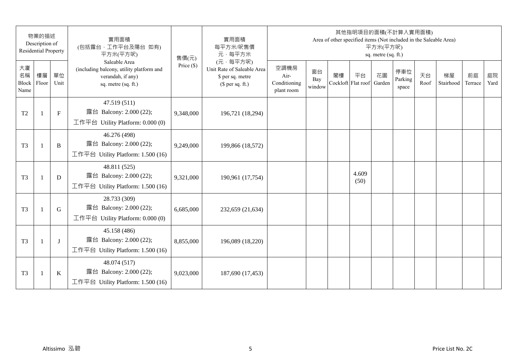|                           | 物業的描述<br>Description of<br><b>Residential Property</b> |              | 實用面積<br>(包括露台,工作平台及陽台 如有)<br>平方米(平方呎)                                                                 | 售價(元)        | 實用面積<br>每平方米/呎售價<br>元·每平方米                                                     |                                            |                     |    | 其他指明項目的面積(不計算入實用面積)<br>Area of other specified items (Not included in the Saleable Area) | 平方米(平方呎)<br>sq. metre (sq. ft.) |                         |            |                 |               |            |
|---------------------------|--------------------------------------------------------|--------------|-------------------------------------------------------------------------------------------------------|--------------|--------------------------------------------------------------------------------|--------------------------------------------|---------------------|----|------------------------------------------------------------------------------------------|---------------------------------|-------------------------|------------|-----------------|---------------|------------|
| 大廈<br>名稱<br>Block<br>Name | 樓層<br>Floor                                            | 單位<br>Unit   | Saleable Area<br>(including balcony, utility platform and<br>verandah, if any)<br>sq. metre (sq. ft.) | Price $(\$)$ | (元·每平方呎)<br>Unit Rate of Saleable Area<br>\$ per sq. metre<br>$$$ per sq. ft.) | 空調機房<br>Air-<br>Conditioning<br>plant room | 窗台<br>Bay<br>window | 閣樓 | 平台<br>Cockloft Flat roof                                                                 | 花園<br>Garden                    | 停車位<br>Parking<br>space | 天台<br>Roof | 梯屋<br>Stairhood | 前庭<br>Terrace | 庭院<br>Yard |
| T <sub>2</sub>            | $\mathbf{1}$                                           | $\mathbf{F}$ | 47.519 (511)<br>露台 Balcony: 2.000 (22);<br>工作平台 Utility Platform: 0.000 (0)                           | 9,348,000    | 196,721 (18,294)                                                               |                                            |                     |    |                                                                                          |                                 |                         |            |                 |               |            |
| T <sub>3</sub>            | $\overline{1}$                                         | B            | 46.276 (498)<br>露台 Balcony: 2.000 (22);<br>工作平台 Utility Platform: 1.500 (16)                          | 9,249,000    | 199,866 (18,572)                                                               |                                            |                     |    |                                                                                          |                                 |                         |            |                 |               |            |
| T <sub>3</sub>            | $\mathbf{1}$                                           | D            | 48.811 (525)<br>露台 Balcony: 2.000 (22);<br>工作平台 Utility Platform: 1.500 (16)                          | 9,321,000    | 190,961 (17,754)                                                               |                                            |                     |    | 4.609<br>(50)                                                                            |                                 |                         |            |                 |               |            |
| T <sub>3</sub>            | $\mathbf{1}$                                           | G            | 28.733 (309)<br>露台 Balcony: 2.000 (22);<br>工作平台 Utility Platform: 0.000 (0)                           | 6,685,000    | 232,659 (21,634)                                                               |                                            |                     |    |                                                                                          |                                 |                         |            |                 |               |            |
| T <sub>3</sub>            |                                                        | $\bf{J}$     | 45.158 (486)<br>露台 Balcony: 2.000 (22);<br>工作平台 Utility Platform: 1.500 (16)                          | 8,855,000    | 196,089 (18,220)                                                               |                                            |                     |    |                                                                                          |                                 |                         |            |                 |               |            |
| T <sub>3</sub>            | $\overline{1}$                                         | $\bf K$      | 48.074 (517)<br>露台 Balcony: 2.000 (22);<br>工作平台 Utility Platform: 1.500 (16)                          | 9,023,000    | 187,690 (17,453)                                                               |                                            |                     |    |                                                                                          |                                 |                         |            |                 |               |            |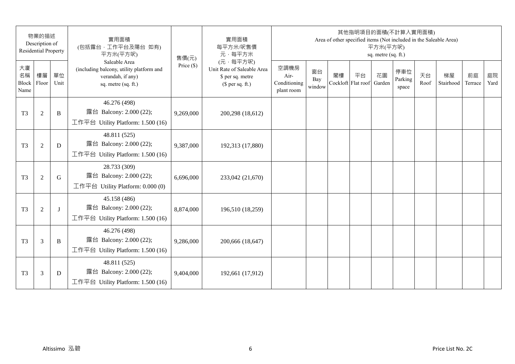|                           | 物業的描述<br>Description of<br><b>Residential Property</b> |              | 實用面積<br>(包括露台,工作平台及陽台 如有)<br>平方米(平方呎)                                                                 | 售價(元)        | 實用面積<br>每平方米/呎售價<br>元·每平方米                                                     |                                            |                     |    | 其他指明項目的面積(不計算入實用面積)      | 平方米(平方呎)<br>sq. metre (sq. ft.) |                         |            | Area of other specified items (Not included in the Saleable Area) |               |            |
|---------------------------|--------------------------------------------------------|--------------|-------------------------------------------------------------------------------------------------------|--------------|--------------------------------------------------------------------------------|--------------------------------------------|---------------------|----|--------------------------|---------------------------------|-------------------------|------------|-------------------------------------------------------------------|---------------|------------|
| 大廈<br>名稱<br>Block<br>Name | 樓層<br>Floor                                            | 單位<br>Unit   | Saleable Area<br>(including balcony, utility platform and<br>verandah, if any)<br>sq. metre (sq. ft.) | Price $(\$)$ | (元·每平方呎)<br>Unit Rate of Saleable Area<br>\$ per sq. metre<br>$$$ per sq. ft.) | 空調機房<br>Air-<br>Conditioning<br>plant room | 窗台<br>Bay<br>window | 閣樓 | 平台<br>Cockloft Flat roof | 花園<br>Garden                    | 停車位<br>Parking<br>space | 天台<br>Roof | 梯屋<br>Stairhood                                                   | 前庭<br>Terrace | 庭院<br>Yard |
| T <sub>3</sub>            | $\overline{2}$                                         | B            | 46.276 (498)<br>露台 Balcony: 2.000 (22);<br>工作平台 Utility Platform: 1.500 (16)                          | 9,269,000    | 200,298 (18,612)                                                               |                                            |                     |    |                          |                                 |                         |            |                                                                   |               |            |
| T <sub>3</sub>            | $\overline{2}$                                         | D            | 48.811 (525)<br>露台 Balcony: 2.000 (22);<br>工作平台 Utility Platform: 1.500 (16)                          | 9,387,000    | 192,313 (17,880)                                                               |                                            |                     |    |                          |                                 |                         |            |                                                                   |               |            |
| T <sub>3</sub>            | $\overline{2}$                                         | G            | 28.733 (309)<br>露台 Balcony: 2.000 (22);<br>工作平台 Utility Platform: $0.000(0)$                          | 6,696,000    | 233,042 (21,670)                                                               |                                            |                     |    |                          |                                 |                         |            |                                                                   |               |            |
| T <sub>3</sub>            | $\overline{2}$                                         | $\mathbf{I}$ | 45.158 (486)<br>露台 Balcony: 2.000 (22);<br>工作平台 Utility Platform: 1.500 (16)                          | 8,874,000    | 196,510 (18,259)                                                               |                                            |                     |    |                          |                                 |                         |            |                                                                   |               |            |
| T <sub>3</sub>            | 3                                                      | B            | 46.276 (498)<br>露台 Balcony: 2.000 (22);<br>工作平台 Utility Platform: 1.500 (16)                          | 9,286,000    | 200,666 (18,647)                                                               |                                            |                     |    |                          |                                 |                         |            |                                                                   |               |            |
| T <sub>3</sub>            | 3                                                      | D            | 48.811 (525)<br>露台 Balcony: 2.000 (22);<br>工作平台 Utility Platform: $1.500(16)$                         | 9,404,000    | 192,661 (17,912)                                                               |                                            |                     |    |                          |                                 |                         |            |                                                                   |               |            |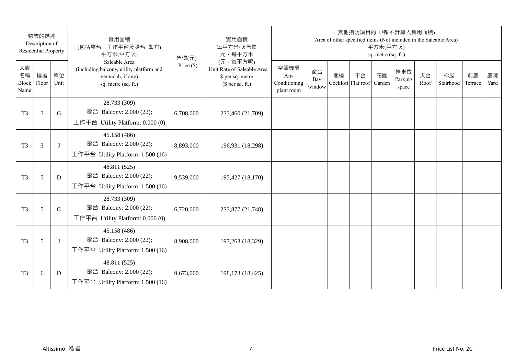|                           | 物業的描述<br>Description of<br><b>Residential Property</b> |            | 實用面積<br>(包括露台,工作平台及陽台 如有)<br>平方米(平方呎)                                                                 | 售價(元)        | 實用面積<br>每平方米/呎售價<br>元·每平方米                                                     |                                            |                     |    | 其他指明項目的面積(不計算入實用面積)      | 平方米(平方呎)<br>sq. metre (sq. ft.) |                         |            | Area of other specified items (Not included in the Saleable Area) |               |            |
|---------------------------|--------------------------------------------------------|------------|-------------------------------------------------------------------------------------------------------|--------------|--------------------------------------------------------------------------------|--------------------------------------------|---------------------|----|--------------------------|---------------------------------|-------------------------|------------|-------------------------------------------------------------------|---------------|------------|
| 大廈<br>名稱<br>Block<br>Name | 樓層<br>Floor                                            | 單位<br>Unit | Saleable Area<br>(including balcony, utility platform and<br>verandah, if any)<br>sq. metre (sq. ft.) | Price $(\$)$ | (元·每平方呎)<br>Unit Rate of Saleable Area<br>\$ per sq. metre<br>$$$ per sq. ft.) | 空調機房<br>Air-<br>Conditioning<br>plant room | 窗台<br>Bay<br>window | 閣樓 | 平台<br>Cockloft Flat roof | 花園<br>Garden                    | 停車位<br>Parking<br>space | 天台<br>Roof | 梯屋<br>Stairhood                                                   | 前庭<br>Terrace | 庭院<br>Yard |
| T <sub>3</sub>            | 3                                                      | G          | 28.733 (309)<br>露台 Balcony: 2.000 (22);<br>工作平台 Utility Platform: 0.000 (0)                           | 6,708,000    | 233,460 (21,709)                                                               |                                            |                     |    |                          |                                 |                         |            |                                                                   |               |            |
| T <sub>3</sub>            | 3                                                      | J          | 45.158 (486)<br>露台 Balcony: 2.000 (22);<br>工作平台 Utility Platform: 1.500 (16)                          | 8,893,000    | 196,931 (18,298)                                                               |                                            |                     |    |                          |                                 |                         |            |                                                                   |               |            |
| T <sub>3</sub>            | 5                                                      | D          | 48.811 (525)<br>露台 Balcony: 2.000 (22);<br>工作平台 Utility Platform: 1.500 (16)                          | 9,539,000    | 195,427 (18,170)                                                               |                                            |                     |    |                          |                                 |                         |            |                                                                   |               |            |
| T <sub>3</sub>            | 5                                                      | G          | 28.733 (309)<br>露台 Balcony: 2.000 (22);<br>工作平台 Utility Platform: 0.000 (0)                           | 6,720,000    | 233,877 (21,748)                                                               |                                            |                     |    |                          |                                 |                         |            |                                                                   |               |            |
| T <sub>3</sub>            | 5                                                      | J          | 45.158 (486)<br>露台 Balcony: 2.000 (22);<br>工作平台 Utility Platform: 1.500 (16)                          | 8,908,000    | 197,263 (18,329)                                                               |                                            |                     |    |                          |                                 |                         |            |                                                                   |               |            |
| T <sub>3</sub>            | 6                                                      | D          | 48.811 (525)<br>露台 Balcony: 2.000 (22);<br>工作平台 Utility Platform: $1.500(16)$                         | 9,673,000    | 198,173 (18,425)                                                               |                                            |                     |    |                          |                                 |                         |            |                                                                   |               |            |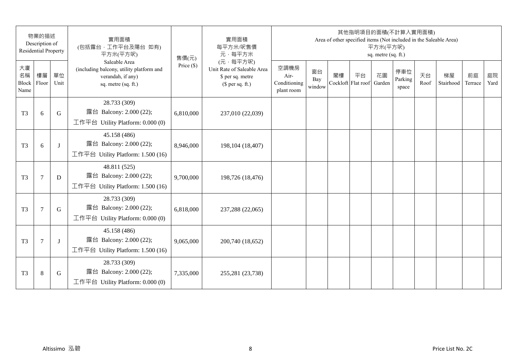|                           | 物業的描述<br>Description of<br><b>Residential Property</b> |             | 實用面積<br>(包括露台,工作平台及陽台 如有)<br>平方米(平方呎)                                                                 | 售價(元)        | 實用面積<br>每平方米/呎售價<br>元·每平方米                                                     |                                            |                     |    | 其他指明項目的面積(不計算入實用面積)      | 平方米(平方呎)<br>sq. metre (sq. ft.) |                         |            | Area of other specified items (Not included in the Saleable Area) |               |            |
|---------------------------|--------------------------------------------------------|-------------|-------------------------------------------------------------------------------------------------------|--------------|--------------------------------------------------------------------------------|--------------------------------------------|---------------------|----|--------------------------|---------------------------------|-------------------------|------------|-------------------------------------------------------------------|---------------|------------|
| 大廈<br>名稱<br>Block<br>Name | 樓層<br>Floor                                            | 單位<br>Unit  | Saleable Area<br>(including balcony, utility platform and<br>verandah, if any)<br>sq. metre (sq. ft.) | Price $(\$)$ | (元·每平方呎)<br>Unit Rate of Saleable Area<br>\$ per sq. metre<br>$$$ per sq. ft.) | 空調機房<br>Air-<br>Conditioning<br>plant room | 窗台<br>Bay<br>window | 閣樓 | 平台<br>Cockloft Flat roof | 花園<br>Garden                    | 停車位<br>Parking<br>space | 天台<br>Roof | 梯屋<br>Stairhood                                                   | 前庭<br>Terrace | 庭院<br>Yard |
| T <sub>3</sub>            | 6                                                      | $\mathbf G$ | 28.733 (309)<br>露台 Balcony: 2.000 (22);<br>工作平台 Utility Platform: $0.000(0)$                          | 6,810,000    | 237,010 (22,039)                                                               |                                            |                     |    |                          |                                 |                         |            |                                                                   |               |            |
| T <sub>3</sub>            | 6                                                      | $\bf{J}$    | 45.158 (486)<br>露台 Balcony: 2.000 (22);<br>工作平台 Utility Platform: 1.500 (16)                          | 8,946,000    | 198,104 (18,407)                                                               |                                            |                     |    |                          |                                 |                         |            |                                                                   |               |            |
| T <sub>3</sub>            | $\tau$                                                 | D           | 48.811 (525)<br>露台 Balcony: 2.000 (22);<br>工作平台 Utility Platform: 1.500 (16)                          | 9,700,000    | 198,726 (18,476)                                                               |                                            |                     |    |                          |                                 |                         |            |                                                                   |               |            |
| T <sub>3</sub>            | $\overline{7}$                                         | $\mathbf G$ | 28.733 (309)<br>露台 Balcony: 2.000 (22);<br>工作平台 Utility Platform: $0.000(0)$                          | 6,818,000    | 237,288 (22,065)                                                               |                                            |                     |    |                          |                                 |                         |            |                                                                   |               |            |
| T <sub>3</sub>            | $\overline{7}$                                         | J           | 45.158 (486)<br>露台 Balcony: 2.000 (22);<br>工作平台 Utility Platform: 1.500 (16)                          | 9,065,000    | 200,740 (18,652)                                                               |                                            |                     |    |                          |                                 |                         |            |                                                                   |               |            |
| T <sub>3</sub>            | 8                                                      | G           | 28.733 (309)<br>露台 Balcony: 2.000 (22);<br>工作平台 Utility Platform: $0.000(0)$                          | 7,335,000    | 255,281 (23,738)                                                               |                                            |                     |    |                          |                                 |                         |            |                                                                   |               |            |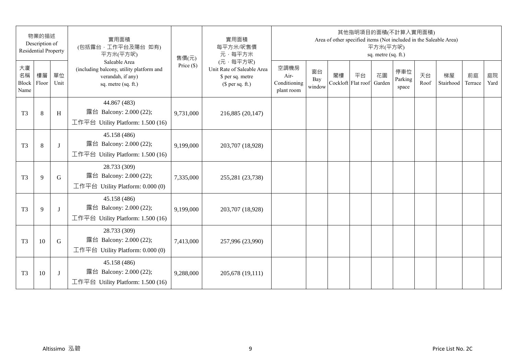|                           | 物業的描述<br>Description of<br><b>Residential Property</b> |              | 實用面積<br>(包括露台,工作平台及陽台 如有)<br>平方米(平方呎)                                                                 | 售價(元)        | 實用面積<br>每平方米/呎售價<br>元·每平方米                                                     |                                            |                     |    | 其他指明項目的面積(不計算入實用面積)      | 平方米(平方呎)<br>sq. metre (sq. ft.) |                         |            | Area of other specified items (Not included in the Saleable Area) |               |            |
|---------------------------|--------------------------------------------------------|--------------|-------------------------------------------------------------------------------------------------------|--------------|--------------------------------------------------------------------------------|--------------------------------------------|---------------------|----|--------------------------|---------------------------------|-------------------------|------------|-------------------------------------------------------------------|---------------|------------|
| 大廈<br>名稱<br>Block<br>Name | 樓層<br>Floor                                            | 單位<br>Unit   | Saleable Area<br>(including balcony, utility platform and<br>verandah, if any)<br>sq. metre (sq. ft.) | Price $(\$)$ | (元·每平方呎)<br>Unit Rate of Saleable Area<br>\$ per sq. metre<br>$$$ per sq. ft.) | 空調機房<br>Air-<br>Conditioning<br>plant room | 窗台<br>Bay<br>window | 閣樓 | 平台<br>Cockloft Flat roof | 花園<br>Garden                    | 停車位<br>Parking<br>space | 天台<br>Roof | 梯屋<br>Stairhood                                                   | 前庭<br>Terrace | 庭院<br>Yard |
| T <sub>3</sub>            | 8                                                      | H            | 44.867 (483)<br>露台 Balcony: 2.000 (22);<br>工作平台 Utility Platform: 1.500 (16)                          | 9,731,000    | 216,885 (20,147)                                                               |                                            |                     |    |                          |                                 |                         |            |                                                                   |               |            |
| T <sub>3</sub>            | 8                                                      | J            | 45.158 (486)<br>露台 Balcony: 2.000 (22);<br>工作平台 Utility Platform: 1.500 (16)                          | 9,199,000    | 203,707 (18,928)                                                               |                                            |                     |    |                          |                                 |                         |            |                                                                   |               |            |
| T <sub>3</sub>            | 9                                                      | G            | 28.733 (309)<br>露台 Balcony: 2.000 (22);<br>工作平台 Utility Platform: $0.000(0)$                          | 7,335,000    | 255,281 (23,738)                                                               |                                            |                     |    |                          |                                 |                         |            |                                                                   |               |            |
| T <sub>3</sub>            | 9                                                      | $\mathbf{I}$ | 45.158 (486)<br>露台 Balcony: 2.000 (22);<br>工作平台 Utility Platform: 1.500 (16)                          | 9,199,000    | 203,707 (18,928)                                                               |                                            |                     |    |                          |                                 |                         |            |                                                                   |               |            |
| T <sub>3</sub>            | 10                                                     | G            | 28.733 (309)<br>露台 Balcony: 2.000 (22);<br>工作平台 Utility Platform: $0.000(0)$                          | 7,413,000    | 257,996 (23,990)                                                               |                                            |                     |    |                          |                                 |                         |            |                                                                   |               |            |
| T <sub>3</sub>            | 10                                                     | J            | 45.158 (486)<br>露台 Balcony: 2.000 (22);<br>工作平台 Utility Platform: $1.500(16)$                         | 9,288,000    | 205,678 (19,111)                                                               |                                            |                     |    |                          |                                 |                         |            |                                                                   |               |            |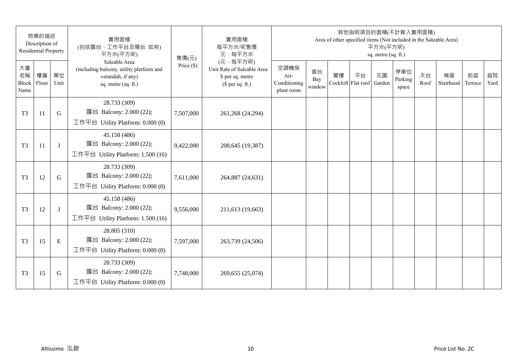|                           | 物業的描述<br>Description of<br><b>Residential Property</b> |            | 實用面積<br>(包括露台,工作平台及陽台 如有)<br>平方米(平方呎)                                                                 | 售價(元)        | 實用面積<br>每平方米/呎售價<br>元·每平方米                                                     |                                            |                     |    | 其他指明項目的面積(不計算入實用面積)      | 平方米(平方呎)<br>sq. metre (sq. ft.) |                         |            | Area of other specified items (Not included in the Saleable Area) |               |            |
|---------------------------|--------------------------------------------------------|------------|-------------------------------------------------------------------------------------------------------|--------------|--------------------------------------------------------------------------------|--------------------------------------------|---------------------|----|--------------------------|---------------------------------|-------------------------|------------|-------------------------------------------------------------------|---------------|------------|
| 大廈<br>名稱<br>Block<br>Name | 樓層<br>Floor                                            | 單位<br>Unit | Saleable Area<br>(including balcony, utility platform and<br>verandah, if any)<br>sq. metre (sq. ft.) | Price $(\$)$ | (元·每平方呎)<br>Unit Rate of Saleable Area<br>\$ per sq. metre<br>$$$ per sq. ft.) | 空調機房<br>Air-<br>Conditioning<br>plant room | 窗台<br>Bay<br>window | 閣樓 | 平台<br>Cockloft Flat roof | 花園<br>Garden                    | 停車位<br>Parking<br>space | 天台<br>Roof | 梯屋<br>Stairhood                                                   | 前庭<br>Terrace | 庭院<br>Yard |
| T <sub>3</sub>            | 11                                                     | G          | 28.733 (309)<br>露台 Balcony: 2.000 (22);<br>工作平台 Utility Platform: 0.000 (0)                           | 7,507,000    | 261,268 (24,294)                                                               |                                            |                     |    |                          |                                 |                         |            |                                                                   |               |            |
| T <sub>3</sub>            | 11                                                     | J          | 45.158 (486)<br>露台 Balcony: 2.000 (22);<br>工作平台 Utility Platform: 1.500 (16)                          | 9,422,000    | 208,645 (19,387)                                                               |                                            |                     |    |                          |                                 |                         |            |                                                                   |               |            |
| T <sub>3</sub>            | 12                                                     | G          | 28.733 (309)<br>露台 Balcony: 2.000 (22);<br>工作平台 Utility Platform: $0.000(0)$                          | 7,611,000    | 264,887 (24,631)                                                               |                                            |                     |    |                          |                                 |                         |            |                                                                   |               |            |
| T <sub>3</sub>            | 12                                                     | J          | 45.158 (486)<br>露台 Balcony: 2.000 (22);<br>工作平台 Utility Platform: 1.500 (16)                          | 9,556,000    | 211,613 (19,663)                                                               |                                            |                     |    |                          |                                 |                         |            |                                                                   |               |            |
| T <sub>3</sub>            | 15                                                     | E          | 28.805 (310)<br>露台 Balcony: 2.000 (22);<br>工作平台 Utility Platform: $0.000(0)$                          | 7,597,000    | 263,739 (24,506)                                                               |                                            |                     |    |                          |                                 |                         |            |                                                                   |               |            |
| T <sub>3</sub>            | 15                                                     | G          | 28.733 (309)<br>露台 Balcony: 2.000 (22);<br>工作平台 Utility Platform: $0.000(0)$                          | 7,748,000    | 269,655 (25,074)                                                               |                                            |                     |    |                          |                                 |                         |            |                                                                   |               |            |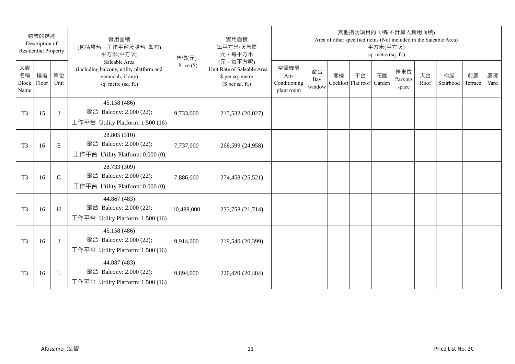| 物業的描述<br>Description of<br><b>Residential Property</b> |             | 實用面積<br>(包括露台,工作平台及陽台 如有)<br>平方米(平方呎) | 售價(元)                                                                                                 | 實用面積<br>每平方米/呎售價<br>元·每平方米 | 其他指明項目的面積(不計算入實用面積)<br>Area of other specified items (Not included in the Saleable Area)<br>平方米(平方呎)<br>sq. metre (sq. ft.) |                                            |                     |    |                          |              |                         |            |                 |               |            |
|--------------------------------------------------------|-------------|---------------------------------------|-------------------------------------------------------------------------------------------------------|----------------------------|-----------------------------------------------------------------------------------------------------------------------------|--------------------------------------------|---------------------|----|--------------------------|--------------|-------------------------|------------|-----------------|---------------|------------|
| 大廈<br>名稱<br>Block<br>Name                              | 樓層<br>Floor | 單位<br>Unit                            | Saleable Area<br>(including balcony, utility platform and<br>verandah, if any)<br>sq. metre (sq. ft.) | Price $(\$)$               | (元·每平方呎)<br>Unit Rate of Saleable Area<br>\$ per sq. metre<br>$$$ per sq. ft.)                                              | 空調機房<br>Air-<br>Conditioning<br>plant room | 窗台<br>Bay<br>window | 閣樓 | 平台<br>Cockloft Flat roof | 花園<br>Garden | 停車位<br>Parking<br>space | 天台<br>Roof | 梯屋<br>Stairhood | 前庭<br>Terrace | 庭院<br>Yard |
| T <sub>3</sub>                                         | 15          | J                                     | 45.158 (486)<br>露台 Balcony: 2.000 (22);<br>工作平台 Utility Platform: 1.500 (16)                          | 9,733,000                  | 215,532 (20,027)                                                                                                            |                                            |                     |    |                          |              |                         |            |                 |               |            |
| T <sub>3</sub>                                         | 16          | E                                     | 28.805 (310)<br>露台 Balcony: 2.000 (22);<br>工作平台 Utility Platform: 0.000 (0)                           | 7,737,000                  | 268,599 (24,958)                                                                                                            |                                            |                     |    |                          |              |                         |            |                 |               |            |
| T <sub>3</sub>                                         | 16          | G                                     | 28.733 (309)<br>露台 Balcony: 2.000 (22);<br>工作平台 Utility Platform: $0.000(0)$                          | 7,886,000                  | 274,458 (25,521)                                                                                                            |                                            |                     |    |                          |              |                         |            |                 |               |            |
| T <sub>3</sub>                                         | 16          | H                                     | 44.867 (483)<br>露台 Balcony: 2.000 (22);<br>工作平台 Utility Platform: 1.500 (16)                          | 10,488,000                 | 233,758 (21,714)                                                                                                            |                                            |                     |    |                          |              |                         |            |                 |               |            |
| T <sub>3</sub>                                         | 16          | J                                     | 45.158 (486)<br>露台 Balcony: 2.000 (22);<br>工作平台 Utility Platform: 1.500 (16)                          | 9,914,000                  | 219,540 (20,399)                                                                                                            |                                            |                     |    |                          |              |                         |            |                 |               |            |
| T <sub>3</sub>                                         | 16          | L                                     | 44.887 (483)<br>露台 Balcony: 2.000 (22);<br>工作平台 Utility Platform: $1.500(16)$                         | 9,894,000                  | 220,420 (20,484)                                                                                                            |                                            |                     |    |                          |              |                         |            |                 |               |            |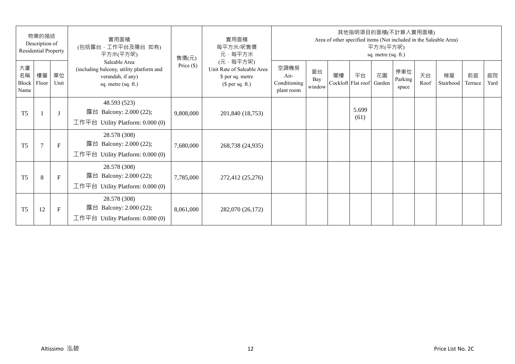| 物業的描述<br>Description of<br><b>Residential Property</b> |                |              | 實用面積<br>(包括露台,工作平台及陽台 如有)<br>平方米(平方呎)                                                                 | 售價(元)        | 實用面積<br>每平方米/呎售價<br>元·每平方米                                                     | 其他指明項目的面積(不計算入實用面積)<br>Area of other specified items (Not included in the Saleable Area)<br>平方米(平方呎)<br>sq. metre (sq. ft.) |                     |                          |               |              |                         |            |                 |               |            |  |
|--------------------------------------------------------|----------------|--------------|-------------------------------------------------------------------------------------------------------|--------------|--------------------------------------------------------------------------------|-----------------------------------------------------------------------------------------------------------------------------|---------------------|--------------------------|---------------|--------------|-------------------------|------------|-----------------|---------------|------------|--|
| 大廈<br>名稱<br>Block<br>Name                              | 樓層<br>Floor    | 單位<br>Unit   | Saleable Area<br>(including balcony, utility platform and<br>verandah, if any)<br>sq. metre (sq. ft.) | Price $(\$)$ | (元·每平方呎)<br>Unit Rate of Saleable Area<br>\$ per sq. metre<br>$$$ per sq. ft.) | 空調機房<br>Air-<br>Conditioning<br>plant room                                                                                  | 窗台<br>Bay<br>window | 閣樓<br>Cockloft Flat roof | 平台            | 花園<br>Garden | 停車位<br>Parking<br>space | 天台<br>Roof | 梯屋<br>Stairhood | 前庭<br>Terrace | 庭院<br>Yard |  |
| T <sub>5</sub>                                         |                | $\lceil$     | 48.593 (523)<br>露台 Balcony: 2.000 (22);<br>工作平台 Utility Platform: $0.000(0)$                          | 9,808,000    | 201,840 (18,753)                                                               |                                                                                                                             |                     |                          | 5.699<br>(61) |              |                         |            |                 |               |            |  |
| T <sub>5</sub>                                         | $\overline{7}$ | $\mathbf{F}$ | 28.578 (308)<br>露台 Balcony: 2.000 (22);<br>工作平台 Utility Platform: 0.000 (0)                           | 7,680,000    | 268,738 (24,935)                                                               |                                                                                                                             |                     |                          |               |              |                         |            |                 |               |            |  |
| T <sub>5</sub>                                         | 8              | $\mathbf{F}$ | 28.578 (308)<br>露台 Balcony: 2.000 (22);<br>工作平台 Utility Platform: $0.000(0)$                          | 7,785,000    | 272,412 (25,276)                                                               |                                                                                                                             |                     |                          |               |              |                         |            |                 |               |            |  |
| T <sub>5</sub>                                         | 12             | $\mathbf F$  | 28.578 (308)<br>露台 Balcony: 2.000 (22);<br>工作平台 Utility Platform: $0.000(0)$                          | 8,061,000    | 282,070 (26,172)                                                               |                                                                                                                             |                     |                          |               |              |                         |            |                 |               |            |  |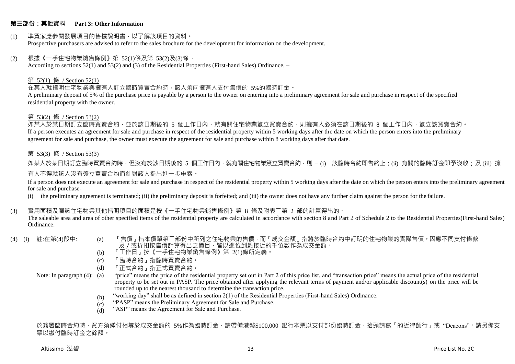## **第三部份:其他資料 Part 3: Other Information**

#### (1) 準買家應參閱發展項目的售樓說明書,以了解該項目的資料。 Prospective purchasers are advised to refer to the sales brochure for the development for information on the development.

#### $(2)$  根據《一手住宅物業銷售條例》第 52(1)條及第 53(2)及(3)條,

According to sections 52(1) and 53(2) and (3) of the Residential Properties (First-hand Sales) Ordinance, –

#### 第 52(1) 條 / Section 52(1)

在某人就指明住宅物業與擁有人訂立臨時買賣合約時,該人須向擁有人支付售價的 5%的臨時訂金。

A preliminary deposit of 5% of the purchase price is payable by a person to the owner on entering into a preliminary agreement for sale and purchase in respect of the specified residential property with the owner.

#### 第 53(2) 條 / Section 53(2)

如某人於某日期訂立臨時買賣合約,並於該日期後的 5 個工作日內,就有關住宅物業簽立買賣合約,則擁有人必須在該日期後的 8 個工作日內,簽立該買賣合約。 If a person executes an agreement for sale and purchase in respect of the residential property within 5 working days after the date on which the person enters into the preliminary agreement for sale and purchase, the owner must execute the agreement for sale and purchase within 8 working days after that date.

## 第 53(3) 條 / Section 53(3)

如某人於某日期訂立臨時買賣合約時,但沒有於該日期後的 5 個工作日內,就有關住宅物業簽立買賣合約,則 – (i) 該臨時合約即告終止;(ii) 有關的臨時訂金即予沒收;及 (iii) 擁 有人不得就該人沒有簽立買賣合約而針對該人提出進一步申索。

If a person does not execute an agreement for sale and purchase in respect of the residential property within 5 working days after the date on which the person enters into the preliminary agreement for sale and purchase-

(i) the preliminary agreement is terminated; (ii) the preliminary deposit is forfeited; and (iii) the owner does not have any further claim against the person for the failure.

## (3) 實用面積及屬該住宅物業其他指明項目的面積是按《一手住宅物業銷售條例》第 8 條及附表二第 2 部的計算得出的。

The saleable area and area of other specified items of the residential property are calculated in accordance with section 8 and Part 2 of Schedule 2 to the Residential Properties(First-hand Sales) Ordinance.

- 
- (4) (i) 註:在第(4)段中: (a) 「售價」指本價單第二部份中所列之住宅物業的售價,而「成交金額」指將於臨時合約中訂明的住宅物業的實際售價。因應不同支付條款 及/或折扣按售價計算得出之價目,皆以進位到最接近的千位數作為成交金額。
	- (b) 「工作日」按《一手住宅物業銷售條例》第 2(1)條所定義。
	- (c) 「臨時合約」指臨時買賣合約。
	- (d) 「正式合約」指正式買賣合約。

Note: In paragraph (4): (a)

- "price" means the price of the residential property set out in Part 2 of this price list, and "transaction price" means the actual price of the residential property to be set out in PASP. The price obtained after applying the relevant terms of payment and/or applicable discount(s) on the price will be rounded up to the nearest thousand to determine the transaction price.
	- (b) "working day" shall be as defined in section 2(1) of the Residential Properties (First-hand Sales) Ordinance.
	- $(c)$ "PASP" means the Preliminary Agreement for Sale and Purchase.
	- (d) "ASP" means the Agreement for Sale and Purchase.

於簽署臨時合約時,買方須繳付相等於成交金額的 5%作為臨時訂金,請帶備港幣\$100,000 銀行本票以支付部份臨時訂金,抬頭請寫「的近律師行」或"Deacons"。請另備支 票以繳付臨時訂金之餘額。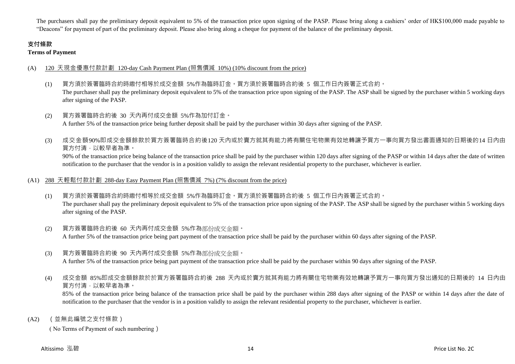The purchasers shall pay the preliminary deposit equivalent to 5% of the transaction price upon signing of the PASP. Please bring along a cashiers' order of HK\$100,000 made payable to "Deacons" for payment of part of the preliminary deposit. Please also bring along a cheque for payment of the balance of the preliminary deposit.

# **支付條款**

**Terms of Payment**

# (A) 120 天現金優惠付款計劃 120-day Cash Payment Plan (照售價減 10%) (10% discount from the price)

- (1) 買方須於簽署臨時合約時繳付相等於成交金額 5%作為臨時訂金。買方須於簽署臨時合約後 5 個工作日內簽署正式合約。 The purchaser shall pay the preliminary deposit equivalent to 5% of the transaction price upon signing of the PASP. The ASP shall be signed by the purchaser within 5 working days after signing of the PASP.
- (2) 買方簽署臨時合約後 30 天內再付成交金額 5%作為加付訂金。 A further 5% of the transaction price being further deposit shall be paid by the purchaser within 30 days after signing of the PASP.
- (3) 成交金額90%即成交金額餘款於買方簽署臨時合約後120 天內或於賣方就其有能力將有關住宅物業有效地轉讓予買方一事向買方發出書面通知的日期後的14 日內由 買方付清,以較早者為準。

90% of the transaction price being balance of the transaction price shall be paid by the purchaser within 120 days after signing of the PASP or within 14 days after the date of written notification to the purchaser that the vendor is in a position validly to assign the relevant residential property to the purchaser, whichever is earlier.

# (A1) 288 天輕鬆付款計劃 288-day Easy Payment Plan (照售價減 7%) (7% discount from the price)

- (1) 買方須於簽署臨時合約時繳付相等於成交金額 5%作為臨時訂金。買方須於簽署臨時合約後 5 個工作日內簽署正式合約。 The purchaser shall pay the preliminary deposit equivalent to 5% of the transaction price upon signing of the PASP. The ASP shall be signed by the purchaser within 5 working days after signing of the PASP.
- (2) 買方簽署臨時合約後 60 天內再付成交金額 5%作為部份成交金額。 A further 5% of the transaction price being part payment of the transaction price shall be paid by the purchaser within 60 days after signing of the PASP.
- (3) 買方簽署臨時合約後 90 天內再付成交金額 5%作為部份成交金額。

A further 5% of the transaction price being part payment of the transaction price shall be paid by the purchaser within 90 days after signing of the PASP.

(4) 成交金額 85%即成交金額餘款於於買方簽署臨時合約後 288 天內或於賣方就其有能力將有關住宅物業有效地轉讓予買方一事向買方發出通知的日期後的 14 日內由 買方付清,以較早者為準。

85% of the transaction price being balance of the transaction price shall be paid by the purchaser within 288 days after signing of the PASP or within 14 days after the date of notification to the purchaser that the vendor is in a position validly to assign the relevant residential property to the purchaser, whichever is earlier.

(A2) (並無此編號之支付條款)

( No Terms of Payment of such numbering)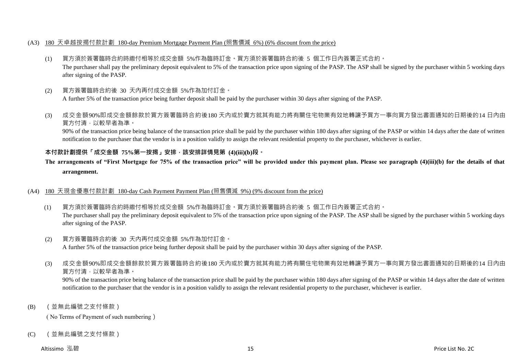## (A3) 180 天卓越按揭付款計劃 180-day Premium Mortgage Payment Plan (照售價減 6%) (6% discount from the price)

- (1) 買方須於簽署臨時合約時繳付相等於成交金額 5%作為臨時訂金。買方須於簽署臨時合約後 5 個工作日內簽署正式合約。 The purchaser shall pay the preliminary deposit equivalent to 5% of the transaction price upon signing of the PASP. The ASP shall be signed by the purchaser within 5 working days after signing of the PASP.
- (2) 買方簽署臨時合約後 30 天內再付成交金額 5%作為加付訂金。 A further 5% of the transaction price being further deposit shall be paid by the purchaser within 30 days after signing of the PASP.
- (3) 成交金額90%即成交金額餘款於買方簽署臨時合約後180 天內或於賣方就其有能力將有關住宅物業有效地轉讓予買方一事向買方發出書面通知的日期後的14 日內由 買方付清,以較早者為準。

90% of the transaction price being balance of the transaction price shall be paid by the purchaser within 180 days after signing of the PASP or within 14 days after the date of written notification to the purchaser that the vendor is in a position validly to assign the relevant residential property to the purchaser, whichever is earlier.

# **本付款計劃提供「成交金額 75%第一按揭」安排,該安排詳情見第 (4)(iii)(b)段。**

# **The arrangements of "First Mortgage for 75% of the transaction price" will be provided under this payment plan. Please see paragraph (4)(iii)(b) for the details of that arrangement.**

## (A4) 180 天現金優惠付款計劃 180-day Cash Payment Payment Plan (照售價減 9%) (9% discount from the price)

- (1) 買方須於簽署臨時合約時繳付相等於成交金額 5%作為臨時訂金。買方須於簽署臨時合約後 5 個工作日內簽署正式合約。 The purchaser shall pay the preliminary deposit equivalent to 5% of the transaction price upon signing of the PASP. The ASP shall be signed by the purchaser within 5 working days after signing of the PASP.
- (2) 買方簽署臨時合約後 30 天內再付成交金額 5%作為加付訂金。 A further 5% of the transaction price being further deposit shall be paid by the purchaser within 30 days after signing of the PASP.
- (3) 成交金額90%即成交金額餘款於買方簽署臨時合約後180 天內或於賣方就其有能力將有關住宅物業有效地轉讓予買方一事向買方發出書面通知的日期後的14 日內由 買方付清,以較早者為準。

90% of the transaction price being balance of the transaction price shall be paid by the purchaser within 180 days after signing of the PASP or within 14 days after the date of written notification to the purchaser that the vendor is in a position validly to assign the relevant residential property to the purchaser, whichever is earlier.

(B) (並無此編號之支付條款)

( No Terms of Payment of such numbering)

(C) (並無此編號之支付條款)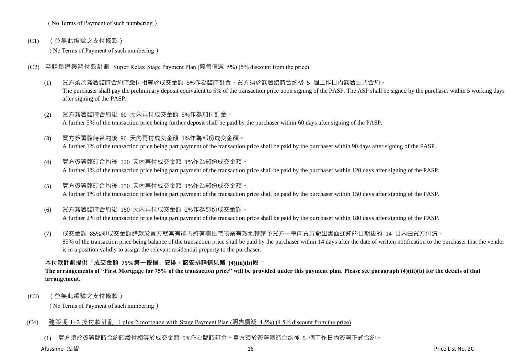( No Terms of Payment of such numbering)

(C1) (並無此編號之支付條款)

( No Terms of Payment of such numbering)

- (C2) 至輕鬆建築期付款計劃 Super Relax Stage Payment Plan (照售價減 5%) (5% discount from the price)
	- (1) 買方須於簽署臨時合約時繳付相等於成交金額 5%作為臨時訂金。買方須於簽署臨時合約後 5 個工作日內簽署正式合約。 The purchaser shall pay the preliminary deposit equivalent to 5% of the transaction price upon signing of the PASP. The ASP shall be signed by the purchaser within 5 working days after signing of the PASP.
	- (2) 買方簽署臨時合約後 60 天內再付成交金額 5%作為加付訂金。 A further 5% of the transaction price being further deposit shall be paid by the purchaser within 60 days after signing of the PASP.
	- (3) 買方簽署臨時合約後 90 天內再付成交金額 1%作為部份成交金額。 A further 1% of the transaction price being part payment of the transaction price shall be paid by the purchaser within 90 days after signing of the PASP.
	- (4) 買方簽署臨時合約後 120 天內再付成交金額 1%作為部份成交金額。 A further 1% of the transaction price being part payment of the transaction price shall be paid by the purchaser within 120 days after signing of the PASP.
	- (5) 買方簽署臨時合約後 150 天內再付成交金額 1%作為部份成交金額。 A further 1% of the transaction price being part payment of the transaction price shall be paid by the purchaser within 150 days after signing of the PASP.
	- (6) 買方簽署臨時合約後 180 天內再付成交金額 2%作為部份成交金額。 A further 2% of the transaction price being part payment of the transaction price shall be paid by the purchaser within 180 days after signing of the PASP.
	- (7) 成交金額 85%即成交金額餘款於賣方就其有能力將有關住宅物業有效地轉讓予買方一事向買方發出書面通知的日期後的 14 日內由買方付清。 85% of the transaction price being balance of the transaction price shall be paid by the purchaser within 14 days after the date of written notification to the purchaser that the vendor is in a position validly to assign the relevant residential property to the purchaser.

# **本付款計劃提供「成交金額 75%第一按揭」安排,該安排詳情見第 (4)(iii)(b)段。**

# **The arrangements of "First Mortgage for 75% of the transaction price" will be provided under this payment plan. Please see paragraph (4)(iii)(b) for the details of that arrangement.**

(C3) (並無此編號之支付條款)

( No Terms of Payment of such numbering)

# (C4) 建築期 1+2 按付款計劃 1 plus 2 mortgage with Stage Payment Plan (照售價減 4.5%) (4.5% discount from the price)

(1) 買方須於簽署臨時合約時繳付相等於成交金額 5%作為臨時訂金。買方須於簽署臨時合約後 5 個工作日內簽署正式合約。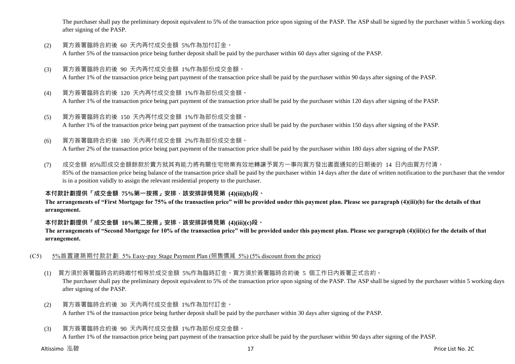The purchaser shall pay the preliminary deposit equivalent to 5% of the transaction price upon signing of the PASP. The ASP shall be signed by the purchaser within 5 working days after signing of the PASP.

- (2) 買方簽署臨時合約後 60 天內再付成交金額 5%作為加付訂金。 A further 5% of the transaction price being further deposit shall be paid by the purchaser within 60 days after signing of the PASP.
- (3) 買方簽署臨時合約後 90 天內再付成交金額 1%作為部份成交金額。 A further 1% of the transaction price being part payment of the transaction price shall be paid by the purchaser within 90 days after signing of the PASP.
- (4) 買方簽署臨時合約後 120 天內再付成交金額 1%作為部份成交金額。 A further 1% of the transaction price being part payment of the transaction price shall be paid by the purchaser within 120 days after signing of the PASP.
- (5) 買方簽署臨時合約後 150 天內再付成交金額 1%作為部份成交金額。 A further 1% of the transaction price being part payment of the transaction price shall be paid by the purchaser within 150 days after signing of the PASP.
- (6) 買方簽署臨時合約後 180 天內再付成交金額 2%作為部份成交金額。

A further 2% of the transaction price being part payment of the transaction price shall be paid by the purchaser within 180 days after signing of the PASP.

(7) 成交金額 85%即成交金額餘款於賣方就其有能力將有關住宅物業有效地轉讓予買方一事向買方發出書面通知的日期後的 14 日內由買方付清。 85% of the transaction price being balance of the transaction price shall be paid by the purchaser within 14 days after the date of written notification to the purchaser that the vendor is in a position validly to assign the relevant residential property to the purchaser.

# **本付款計劃提供「成交金額 75%第一按揭」安排,該安排詳情見第 (4)(iii)(b)段。**

**The arrangements of "First Mortgage for 75% of the transaction price" will be provided under this payment plan. Please see paragraph (4)(iii)(b) for the details of that arrangement.**

## **本付款計劃提供「成交金額 10%第二按揭」安排,該安排詳情見第 (4)(iii)(c)段。**

**The arrangements of "Second Mortgage for 10% of the transaction price" will be provided under this payment plan. Please see paragraph (4)(iii)(c) for the details of that arrangement.**

- (C5) 5%首置建築期付款計劃 5% Easy-pay Stage Payment Plan (照售價減 5%) (5% discount from the price)
	- (1) 買方須於簽署臨時合約時繳付相等於成交金額 5%作為臨時訂金。買方須於簽署臨時合約後 5 個工作日內簽署正式合約。

The purchaser shall pay the preliminary deposit equivalent to 5% of the transaction price upon signing of the PASP. The ASP shall be signed by the purchaser within 5 working days after signing of the PASP.

- (2) 買方簽署臨時合約後 30 天內再付成交金額 1%作為加付訂金。 A further 1% of the transaction price being further deposit shall be paid by the purchaser within 30 days after signing of the PASP.
- (3) 買方簽署臨時合約後 90 天內再付成交金額 1%作為部份成交金額。

A further 1% of the transaction price being part payment of the transaction price shall be paid by the purchaser within 90 days after signing of the PASP.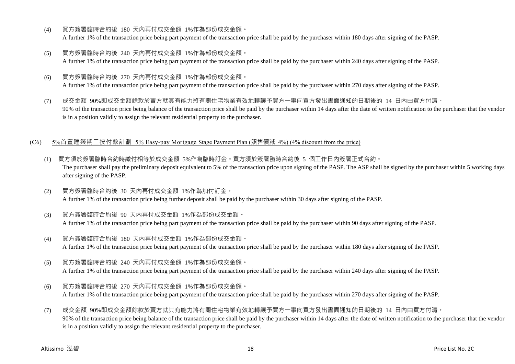- (4) 買方簽署臨時合約後 180 天內再付成交金額 1%作為部份成交金額。 A further 1% of the transaction price being part payment of the transaction price shall be paid by the purchaser within 180 days after signing of the PASP.
- (5) 買方簽署臨時合約後 240 天內再付成交金額 1%作為部份成交金額。 A further 1% of the transaction price being part payment of the transaction price shall be paid by the purchaser within 240 days after signing of the PASP.
- (6) 買方簽署臨時合約後 270 天內再付成交金額 1%作為部份成交金額。 A further 1% of the transaction price being part payment of the transaction price shall be paid by the purchaser within 270 days after signing of the PASP.
- (7) 成交金額 90%即成交金額餘款於賣方就其有能力將有關住宅物業有效地轉讓予買方一事向買方發出書面通知的日期後的 14 日內由買方付清。 90% of the transaction price being balance of the transaction price shall be paid by the purchaser within 14 days after the date of written notification to the purchaser that the vendor is in a position validly to assign the relevant residential property to the purchaser.

#### (C6) 5%首置建築期二按付款計劃 5% Easy-pay Mortgage Stage Payment Plan (照售價減 4%) (4% discount from the price)

- (1) 買方須於簽署臨時合約時繳付相等於成交金額 5%作為臨時訂金。買方須於簽署臨時合約後 5 個工作日內簽署正式合約。 The purchaser shall pay the preliminary deposit equivalent to 5% of the transaction price upon signing of the PASP. The ASP shall be signed by the purchaser within 5 working days after signing of the PASP.
- (2) 買方簽署臨時合約後 30 天內再付成交金額 1%作為加付訂金。 A further 1% of the transaction price being further deposit shall be paid by the purchaser within 30 days after signing of the PASP.
- (3) 買方簽署臨時合約後 90 天內再付成交金額 1%作為部份成交金額。 A further 1% of the transaction price being part payment of the transaction price shall be paid by the purchaser within 90 days after signing of the PASP.
- (4) 買方簽署臨時合約後 180 天內再付成交金額 1%作為部份成交金額。 A further 1% of the transaction price being part payment of the transaction price shall be paid by the purchaser within 180 days after signing of the PASP.
- (5) 買方簽署臨時合約後 240 天內再付成交金額 1%作為部份成交金額。

A further 1% of the transaction price being part payment of the transaction price shall be paid by the purchaser within 240 days after signing of the PASP.

- (6) 買方簽署臨時合約後 270 天內再付成交金額 1%作為部份成交金額。 A further 1% of the transaction price being part payment of the transaction price shall be paid by the purchaser within 270 days after signing of the PASP.
- (7) 成交金額 90%即成交金額餘款於賣方就其有能力將有關住宅物業有效地轉讓予買方一事向買方發出書面通知的日期後的 14 日內由買方付清。 90% of the transaction price being balance of the transaction price shall be paid by the purchaser within 14 days after the date of written notification to the purchaser that the vendor is in a position validly to assign the relevant residential property to the purchaser.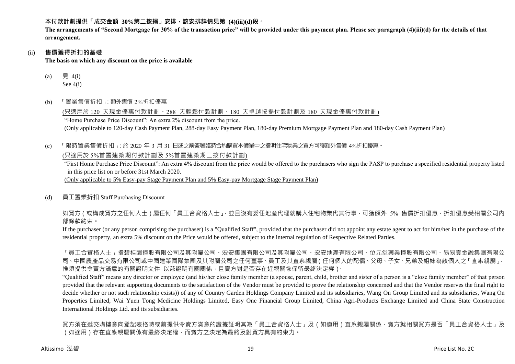**本付款計劃提供「成交金額 30%第二按揭」安排,該安排詳情見第 (4)(iii)(d)段。**

**The arrangements of "Second Mortgage for 30% of the transaction price" will be provided under this payment plan. Please see paragraph (4)(iii)(d) for the details of that arrangement.**

## (ii) **售價獲得折扣的基礎**

**The basis on which any discount on the price is available**

- (a) 見  $4(i)$ See 4(i)
- (b) 「置業售價折扣」:額外售價 2%折扣優惠

(只適用於 120 天現金優惠付款計劃、288 天輕鬆付款計劃、180 天卓越按揭付款計劃及 180 天現金優惠付款計劃) "Home Purchase Price Discount": An extra 2% discount from the price. (Only applicable to 120-day Cash Payment Plan, 288-day Easy Payment Plan, 180-day Premium Mortgage Payment Plan and 180-day Cash Payment Plan)

(c) 「限時置業售價折扣」:於 2020 年 3 月 31 日或之前簽署臨時合約購買本價單中之指明住宅物業之買方可獲額外售價 4%折扣優惠。

(只適用於 5%首置建築期付款計劃及 5%首置建築期二按付款計劃)

"First Home Purchase Price Discount": An extra 4% discount from the price would be offered to the purchasers who sign the PASP to purchase a specified residential property listed in this price list on or before 31st March 2020.

(Only applicable to 5% Easy-pay Stage Payment Plan and 5% Easy-pay Mortgage Stage Payment Plan)

(d) 員工置業折扣 Staff Purchasing Discount

如買方(或構成買方之任何人士)屬任何「員工合資格人士」,並且沒有委任地產代理就購入住宅物業代其行事,可獲額外 5% 售價折扣優惠,折扣優惠受相關公司內 部條款約束。

If the purchaser (or any person comprising the purchaser) is a "Qualified Staff", provided that the purchaser did not appoint any estate agent to act for him/her in the purchase of the residential property, an extra 5% discount on the Price would be offered, subject to the internal regulation of Respective Related Parties.

「員工合資格人士」指碧桂園控股有限公司及其附屬公司、宏安集團有限公司及其附屬公司、宏安地產有限公司、位元堂藥業控股有限公司、易易壹金融集團有限公 司、中國農產品交易有限公司或中國建築國際集團及其附屬公司之任何董事、員工及其直系親屬(任何個人的配偶、父母、子女、兄弟及姐妹為該個人之「直系親屬」, 惟須提供令賣方滿意的有關證明文件 以茲證明有關關係,且賣方對是否存在近親關係保留最終決定權)。

"Qualified Staff" means any director or employee (and his/her close family member (a spouse, parent, child, brother and sister of a person is a "close family member" of that person provided that the relevant supporting documents to the satisfaction of the Vendor must be provided to prove the relationship concerned and that the Vendor reserves the final right to decide whether or not such relationship exists)) of any of Country Garden Holdings Company Limited and its subsidiaries, Wang On Group Limited and its subsidiaries, Wang On Properties Limited, Wai Yuen Tong Medicine Holdings Limited, Easy One Financial Group Limited, China Agri-Products Exchange Limited and China State Construction International Holdings Ltd. and its subsidiaries.

買方須在遞交購樓意向登記表格時或前提供令賣方滿意的證據証明其為「員工合資格人士」及(如適用)直系親屬關係,賣方就相關買方是否「員工合資格人士」及 (如適用)存在直系親屬關係有最終決定權,而賣方之決定為最終及對買方具有約束力。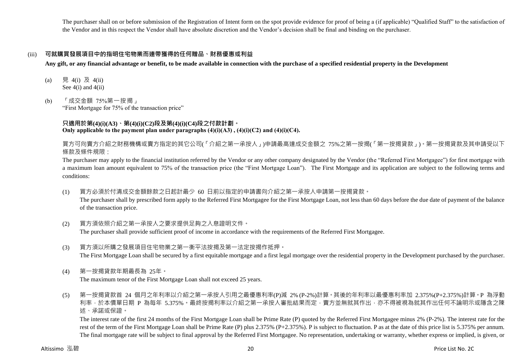The purchaser shall on or before submission of the Registration of Intent form on the spot provide evidence for proof of being a (if applicable) "Qualified Staff" to the satisfaction of the Vendor and in this respect the Vendor shall have absolute discretion and the Vendor's decision shall be final and binding on the purchaser.

# (iii) **可就購買發展項目中的指明住宅物業而連帶獲得的任何贈品、財務優惠或利益**

**Any gift, or any financial advantage or benefit, to be made available in connection with the purchase of a specified residential property in the Development**

- (a) 見 4(i) 及 4(ii) See  $4(i)$  and  $4(ii)$
- (b) 「成交金額 75%第一按揭」

"First Mortgage for 75% of the transaction price"

# **只適用於第(4)(i)(A3)、第(4)(i)(C2)段及第(4)(i)(C4)段之付款計劃。** Only applicable to the payment plan under paragraphs  $(4)(i)(A3)$ ,  $(4)(i)(C2)$  and  $(4)(i)(C4)$ .

買方可向賣方介紹之財務機構或賣方指定的其它公司(「介紹之第一承按人」)申請最高達成交金額之 75%之第一按揭(「第一按揭貸款」)。第一按揭貸款及其申請受以下 條款及條件規限:

The purchaser may apply to the financial institution referred by the Vendor or any other company designated by the Vendor (the "Referred First Mortgagee") for first mortgage with a maximum loan amount equivalent to 75% of the transaction price (the "First Mortgage Loan"). The First Mortgage and its application are subject to the following terms and conditions:

(1) 買方必須於付清成交金額餘款之日起計最少 60 日前以指定的申請書向介紹之第一承按人申請第一按揭貸款。

The purchaser shall by prescribed form apply to the Referred First Mortgagee for the First Mortgage Loan, not less than 60 days before the due date of payment of the balance of the transaction price.

(2) 買方須依照介紹之第一承按人之要求提供足夠之入息證明文件。

The purchaser shall provide sufficient proof of income in accordance with the requirements of the Referred First Mortgagee.

- (3) 買方須以所購之發展項目住宅物業之第一衡平法按揭及第一法定按揭作抵押。 The First Mortgage Loan shall be secured by a first equitable mortgage and a first legal mortgage over the residential property in the Development purchased by the purchaser.
- (4) 第一按揭貸款年期最長為 25年。

The maximum tenor of the First Mortgage Loan shall not exceed 25 years.

(5) 第一按揭貸款首 24 個月之年利率以介紹之第一承按人引用之最優惠利率(P)減 2% (P-2%)計算。其後的年利率以最優惠利率加 2.375%(P+2.375%)計算。P 為浮動 利率,於本價單日期 P 為每年 5.375%。最終按揭利率以介紹之第一承按人審批結果而定,賣方並無就其作出,亦不得被視為就其作出任何不論明示或隱含之陳 述、承諾或保證。

The interest rate of the first 24 months of the First Mortgage Loan shall be Prime Rate (P) quoted by the Referred First Mortgagee minus 2% (P-2%). The interest rate for the rest of the term of the First Mortgage Loan shall be Prime Rate (P) plus 2.375% (P+2.375%). P is subject to fluctuation. P as at the date of this price list is 5.375% per annum. The final mortgage rate will be subject to final approval by the Referred First Mortgagee. No representation, undertaking or warranty, whether express or implied, is given, or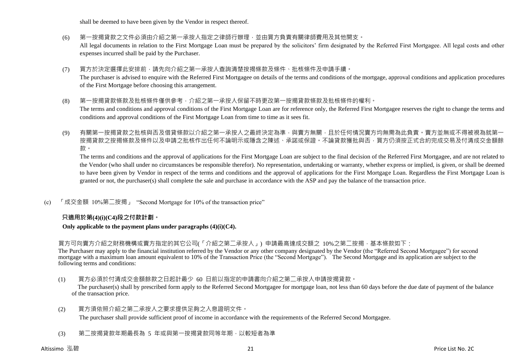shall be deemed to have been given by the Vendor in respect thereof.

- (6) 第一按揭貸款之文件必須由介紹之第一承按人指定之律師行辦理,並由買方負責有關律師費用及其他開支。 All legal documents in relation to the First Mortgage Loan must be prepared by the solicitors' firm designated by the Referred First Mortgagee. All legal costs and other expenses incurred shall be paid by the Purchaser.
- (7) 買方於決定選擇此安排前,請先向介紹之第一承按人查詢清楚按揭條款及條件、批核條件及申請手續。 The purchaser is advised to enquire with the Referred First Mortgagee on details of the terms and conditions of the mortgage, approval conditions and application procedures of the First Mortgage before choosing this arrangement.
- (8) 第一按揭貸款條款及批核條件僅供參考,介紹之第一承按人保留不時更改第一按揭貸款條款及批核條件的權利。 The terms and conditions and approval conditions of the First Mortgage Loan are for reference only, the Referred First Mortgagee reserves the right to change the terms and conditions and approval conditions of the First Mortgage Loan from time to time as it sees fit.
- (9) 有關第一按揭貸款之批核與否及借貸條款以介紹之第一承按人之最終決定為準,與賣方無關,且於任何情況賣方均無需為此負責。賣方並無或不得被視為就第一 按揭貸款之按揭條款及條件以及申請之批核作出任何不論明示或隱含之陳述、承諾或保證。不論貸款獲批與否,買方仍須按正式合約完成交易及付清成交金額餘 款。

The terms and conditions and the approval of applications for the First Mortgage Loan are subject to the final decision of the Referred First Mortgagee, and are not related to the Vendor (who shall under no circumstances be responsible therefor). No representation, undertaking or warranty, whether express or implied, is given, or shall be deemed to have been given by Vendor in respect of the terms and conditions and the approval of applications for the First Mortgage Loan. Regardless the First Mortgage Loan is granted or not, the purchaser(s) shall complete the sale and purchase in accordance with the ASP and pay the balance of the transaction price.

(c) 「成交金額 10%第二按揭」 "Second Mortgage for 10% of the transaction price"

# **只適用於第(4)(i)(C4)段之付款計劃。**

#### **Only applicable to the payment plans under paragraphs (4)(i)(C4).**

買方可向賣方介紹之財務機構或賣方指定的其它公司(「介紹之第二承按人」) 申請最高達成交額之 10%之第二按揭,基本條款如下:

The Purchaser may apply to the financial institution referred by the Vendor or any other company designated by the Vendor (the "Referred Second Mortgagee") for second mortgage with a maximum loan amount equivalent to 10% of the Transaction Price (the "Second Mortgage"). The Second Mortgage and its application are subject to the following terms and conditions:

(1) 買方必須於付清成交金額餘款之日起計最少 60 日前以指定的申請書向介紹之第二承按人申請按揭貸款。

The purchaser(s) shall by prescribed form apply to the Referred Second Mortgagee for mortgage loan, not less than 60 days before the due date of payment of the balance of the transaction price.

(2) 買方須依照介紹之第二承按人之要求提供足夠之入息證明文件。

The purchaser shall provide sufficient proof of income in accordance with the requirements of the Referred Second Mortgagee.

(3) 第二按揭貸款年期最長為 5 年或與第一按揭貸款同等年期,以較短者為準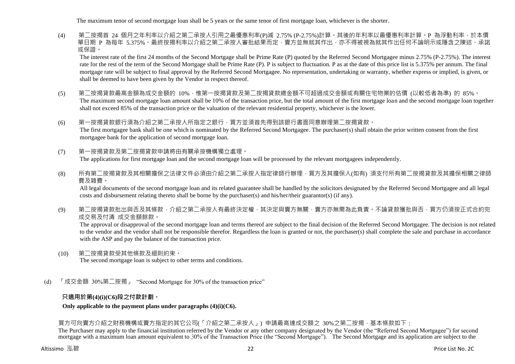The maximum tenor of second mortgage loan shall be 5 years or the same tenor of first mortgage loan, whichever is the shorter.

(4) 第二按揭首 24 個月之年利率以介紹之第二承按人引用之最優惠利率(P)減 2.75% (P-2.75%)計算。其後的年利率以最優惠利率計算。P 為浮動利率,於本價 單日期 P 為每年 5.375%。最終按揭利率以介紹之第二承按人審批結果而定,賣方並無就其作出,亦不得被視為就其作出任何不論明示或隱含之陳述、承諾 或保證。

The interest rate of the first 24 months of the Second Mortgage shall be Prime Rate (P) quoted by the Referred Second Mortgagee minus 2.75% (P-2.75%). The interest rate for the rest of the term of the Second Mortgage shall be Prime Rate (P). P is subject to fluctuation. P as at the date of this price list is 5.375% per annum. The final mortgage rate will be subject to final approval by the Referred Second Mortgagee. No representation, undertaking or warranty, whether express or implied, is given, or shall be deemed to have been given by the Vendor in respect thereof.

- (5) 第二按揭貸款最高金額為成交金額的 10%,惟第一按揭貸款及第二按揭貸款總金額不可超過成交金額或有關住宅物業的估價 (以較低者為準) 的 85%。 The maximum second mortgage loan amount shall be 10% of the transaction price, but the total amount of the first mortgage loan and the second mortgage loan together shall not exceed 85% of the transaction price or the valuation of the relevant residential property, whichever is the lower.
- (6) 第一按揭貸款銀行須為介紹之第二承按人所指定之銀行,買方並須首先得到該銀行書面同意辦理第二按揭貸款。 The first mortgagee bank shall be one which is nominated by the Referred Second Mortgagee. The purchaser(s) shall obtain the prior written consent from the first mortgagee bank for the application of second mortgage loan.
- (7) 第一按揭貸款及第二按揭貸款申請將由有關承按機構獨立處理。 The applications for first mortgage loan and the second mortgage loan will be processed by the relevant mortgagees independently.
- (8) 所有第二按揭貸款及其相關擔保之法律文件必須由介紹之第二承按人指定律師行辦理,買方及其擔保人(如有) 須支付所有第二按揭貸款及其擔保相關之律師 費及雜費。

All legal documents of the second mortgage loan and its related guarantee shall be handled by the solicitors designated by the Referred Second Mortgagee and all legal costs and disbursement relating thereto shall be borne by the purchaser(s) and his/her/their guarantor(s) (if any).

(9) 第二按揭貸款批出與否及其條款,介紹之第二承按人有最終決定權,其決定與賣方無關,賣方亦無需為此負責。不論貸款獲批與否,買方仍須按正式合約完 成交易及付清 成交金額餘款。

The approval or disapproval of the second mortgage loan and terms thereof are subject to the final decision of the Referred Second Mortgagee. The decision is not related to the vendor and the vendor shall not be responsible therefor. Regardless the loan is granted or not, the purchaser(s) shall complete the sale and purchase in accordance with the ASP and pay the balance of the transaction price.

- (10) 第二按揭貸款受其他條款及細則約束。 The second mortgage loan is subject to other terms and conditions.
- (d) 「成交金額 30%第二按揭」 "Second Mortgage for 30% of the transaction price"

# **只適用於第(4)(i)(C6)段之付款計劃。**

## **Only applicable to the payment plans under paragraphs (4)(i)(C6).**

買方可向賣方介紹之財務機構或賣方指定的其它公司(「介紹之第二承按人」) 申請最高達成交額之 30%之第二按揭,基本條款如下:

The Purchaser may apply to the financial institution referred by the Vendor or any other company designated by the Vendor (the "Referred Second Mortgagee") for second mortgage with a maximum loan amount equivalent to 30% of the Transaction Price (the "Second Mortgage"). The Second Mortgage and its application are subject to the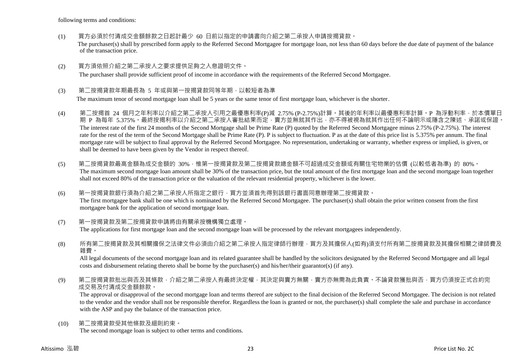following terms and conditions:

- (1) 買方必須於付清成交金額餘款之日起計最少 60 日前以指定的申請書向介紹之第二承按人申請按揭貸款。 The purchaser(s) shall by prescribed form apply to the Referred Second Mortgagee for mortgage loan, not less than 60 days before the due date of payment of the balance of the transaction price.
- (2) 買方須依照介紹之第二承按人之要求提供足夠之入息證明文件。

The purchaser shall provide sufficient proof of income in accordance with the requirements of the Referred Second Mortgagee.

#### (3) 第二按揭貸款年期最長為 5 年或與第一按揭貸款同等年期,以較短者為準

The maximum tenor of second mortgage loan shall be 5 years or the same tenor of first mortgage loan, whichever is the shorter.

- (4) 第二按揭首 24 個月之年利率以介紹之第二承按人引用之最優惠利率(P)減 2.75% (P-2.75%)計算。其後的年利率以最優惠利率計算。P 為浮動利率,於本價單日 期 P 為每年 5.375%。最終按揭利率以介紹之第二承按人審批結果而定,賣方並無就其作出,亦不得被視為就其作出任何不論明示或隱含之陳述、承諾或保證。 The interest rate of the first 24 months of the Second Mortgage shall be Prime Rate (P) quoted by the Referred Second Mortgagee minus 2.75% (P-2.75%). The interest rate for the rest of the term of the Second Mortgage shall be Prime Rate (P). P is subject to fluctuation. P as at the date of this price list is 5.375% per annum. The final mortgage rate will be subject to final approval by the Referred Second Mortgagee. No representation, undertaking or warranty, whether express or implied, is given, or shall be deemed to have been given by the Vendor in respect thereof.
- (5) 第二按揭貸款最高金額為成交金額的 30%,惟第一按揭貸款及第二按揭貸款總金額不可超過成交金額或有關住宅物業的估價 (以較低者為準) 的 80%。 The maximum second mortgage loan amount shall be 30% of the transaction price, but the total amount of the first mortgage loan and the second mortgage loan together shall not exceed 80% of the transaction price or the valuation of the relevant residential property, whichever is the lower.
- (6) 第一按揭貸款銀行須為介紹之第二承按人所指定之銀行,買方並須首先得到該銀行書面同意辦理第二按揭貸款。 The first mortgagee bank shall be one which is nominated by the Referred Second Mortgagee. The purchaser(s) shall obtain the prior written consent from the first mortgagee bank for the application of second mortgage loan.
- (7) 第一按揭貸款及第二按揭貸款申請將由有關承按機構獨立處理。 The applications for first mortgage loan and the second mortgage loan will be processed by the relevant mortgagees independently.
- (8) 所有第二按揭貸款及其相關擔保之法律文件必須由介紹之第二承按人指定律師行辦理,買方及其擔保人(如有)須支付所有第二按揭貸款及其擔保相關之律師費及 雜費。

All legal documents of the second mortgage loan and its related guarantee shall be handled by the solicitors designated by the Referred Second Mortgagee and all legal costs and disbursement relating thereto shall be borne by the purchaser(s) and his/her/their guarantor(s) (if any).

(9) 第二按揭貸款批出與否及其條款,介紹之第二承按人有最終決定權,其決定與賣方無關,賣方亦無需為此負責。不論貸款獲批與否,買方仍須按正式合約完 成交易及付清成交金額餘款。

The approval or disapproval of the second mortgage loan and terms thereof are subject to the final decision of the Referred Second Mortgagee. The decision is not related to the vendor and the vendor shall not be responsible therefor. Regardless the loan is granted or not, the purchaser(s) shall complete the sale and purchase in accordance with the ASP and pay the balance of the transaction price.

(10) 第二按揭貸款受其他條款及細則約束。 The second mortgage loan is subject to other terms and conditions.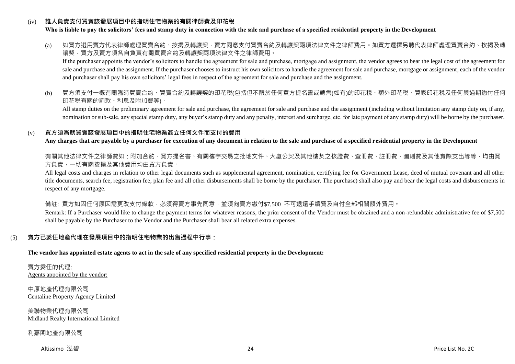## (iv) **誰人負責支付買賣該發展項目中的指明住宅物業的有關律師費及印花稅**

#### **Who is liable to pay the solicitors' fees and stamp duty in connection with the sale and purchase of a specified residential property in the Development**

(a) 如買方選用賣方代表律師處理買賣合約、按揭及轉讓契‧賣方同意支付買賣合約及轉讓契兩項法律文件之律師費用。如買方選擇另聘代表律師處理買賣合約、按揭及轉 讓契,買方及賣方須各自負責有關買賣合約及轉讓契兩項法律文件之律師費用。

If the purchaser appoints the vendor's solicitors to handle the agreement for sale and purchase, mortgage and assignment, the vendor agrees to bear the legal cost of the agreement for sale and purchase and the assignment. If the purchaser chooses to instruct his own solicitors to handle the agreement for sale and purchase, mortgage or assignment, each of the vendor and purchaser shall pay his own solicitors' legal fees in respect of the agreement for sale and purchase and the assignment.

(b) 買方須支付一概有關臨時買賣合約、買賣合約及轉讓契的印花稅(包括但不限於任何買方提名書或轉售(如有)的印花稅、額外印花稅、買家印花稅及任何與過期繳付任何 印花稅有關的罰款、利息及附加費等)。

All stamp duties on the preliminary agreement for sale and purchase, the agreement for sale and purchase and the assignment (including without limitation any stamp duty on, if any, nomination or sub-sale, any special stamp duty, any buyer's stamp duty and any penalty, interest and surcharge, etc. for late payment of any stamp duty) will be borne by the purchaser.

#### (v) **買方須爲就買賣該發展項目中的指明住宅物業簽立任何文件而支付的費用**

**Any charges that are payable by a purchaser for execution of any document in relation to the sale and purchase of a specified residential property in the Development**

有關其他法律文件之律師費如:附加合約、買方提名書、有關樓宇交易之批地文件、大廈公契及其他樓契之核證費、查冊費、註冊費、圖則費及其他實際支出等等,均由買 方負責,一切有關按揭及其他費用均由買方負責。

All legal costs and charges in relation to other legal documents such as supplemental agreement, nomination, certifying fee for Government Lease, deed of mutual covenant and all other title documents, search fee, registration fee, plan fee and all other disbursements shall be borne by the purchaser. The purchase) shall also pay and bear the legal costs and disbursements in respect of any mortgage.

備註: 買方如因任何原因需更改支付條款,必須得賣方事先同意,並須向賣方繳付\$7,500 不可退還手續費及自付全部相關額外費用。

Remark: If a Purchaser would like to change the payment terms for whatever reasons, the prior consent of the Vendor must be obtained and a non-refundable administrative fee of \$7,500 shall be payable by the Purchaser to the Vendor and the Purchaser shall bear all related extra expenses.

## (5) **賣方已委任地產代理在發展項目中的指明住宅物業的出售過程中行事:**

**The vendor has appointed estate agents to act in the sale of any specified residential property in the Development:**

賣方委任的代理: Agents appointed by the vendor:

中原地產代理有限公司 Centaline Property Agency Limited

美聯物業代理有限公司 Midland Realty International Limited

利嘉閣地產有限公司